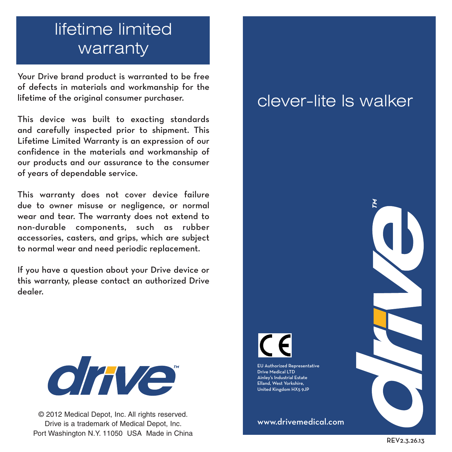# lifetime limited warranty

Your Drive brand product is warranted to be free of defects in materials and workmanship for the lifetime of the original consumer purchaser.

This device was built to exacting standards and carefully inspected prior to shipment. This Lifetime Limited Warranty is an expression of our confidence in the materials and workmanship of our products and our assurance to the consumer of years of dependable service.

This warranty does not cover device failure due to owner misuse or negligence, or normal wear and tear. The warranty does not extend to non-durable components, such as rubber accessories, casters, and grips, which are subject to normal wear and need periodic replacement.

If you have a question about your Drive device or this warranty, please contact an authorized Drive dealer.



© 2012 Medical Depot, Inc. All rights reserved. Drive is a trademark of Medical Depot, Inc. Port Washington N.Y. 11050 USA Made in China

## clever-lite ls walker



EU Authorized Representative Drive Medical LTD Ainley's Industrial Estate Elland, West Yorkshire, United Kingdom HX5 9JP

www.drivemedical.com